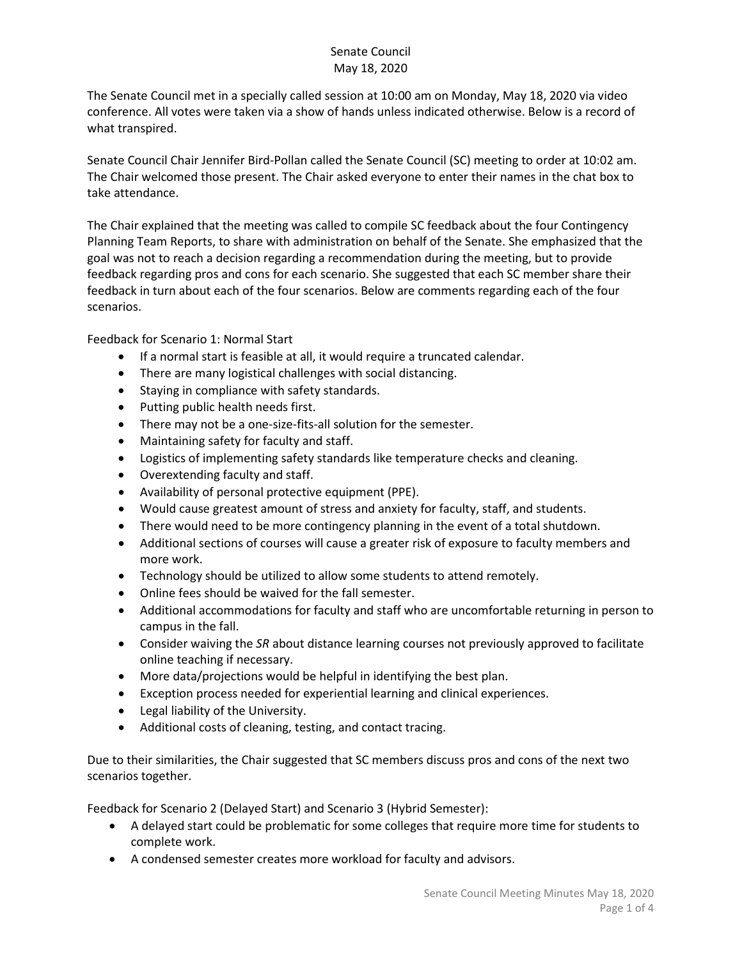The Senate Council met in a specially called session at 10:00 am on Monday, May 18, 2020 via video conference. All votes were taken via a show of hands unless indicated otherwise. Below is a record of what transpired.

Senate Council Chair Jennifer Bird-Pollan called the Senate Council (SC) meeting to order at 10:02 am. The Chair welcomed those present. The Chair asked everyone to enter their names in the chat box to take attendance.

The Chair explained that the meeting was called to compile SC feedback about the four Contingency Planning Team Reports, to share with administration on behalf of the Senate. She emphasized that the goal was not to reach a decision regarding a recommendation during the meeting, but to provide feedback regarding pros and cons for each scenario. She suggested that each SC member share their feedback in turn about each of the four scenarios. Below are comments regarding each of the four scenarios.

Feedback for Scenario 1: Normal Start

- If a normal start is feasible at all, it would require a truncated calendar.
- There are many logistical challenges with social distancing.
- Staying in compliance with safety standards.
- Putting public health needs first.
- There may not be a one-size-fits-all solution for the semester.
- Maintaining safety for faculty and staff.
- Logistics of implementing safety standards like temperature checks and cleaning.
- Overextending faculty and staff.
- Availability of personal protective equipment (PPE).
- Would cause greatest amount of stress and anxiety for faculty, staff, and students.
- There would need to be more contingency planning in the event of a total shutdown.
- Additional sections of courses will cause a greater risk of exposure to faculty members and more work.
- Technology should be utilized to allow some students to attend remotely.
- Online fees should be waived for the fall semester.
- Additional accommodations for faculty and staff who are uncomfortable returning in person to campus in the fall.
- Consider waiving the *SR* about distance learning courses not previously approved to facilitate online teaching if necessary.
- More data/projections would be helpful in identifying the best plan.
- Exception process needed for experiential learning and clinical experiences.
- Legal liability of the University.
- Additional costs of cleaning, testing, and contact tracing.

Due to their similarities, the Chair suggested that SC members discuss pros and cons of the next two scenarios together.

Feedback for Scenario 2 (Delayed Start) and Scenario 3 (Hybrid Semester):

- A delayed start could be problematic for some colleges that require more time for students to complete work.
- A condensed semester creates more workload for faculty and advisors.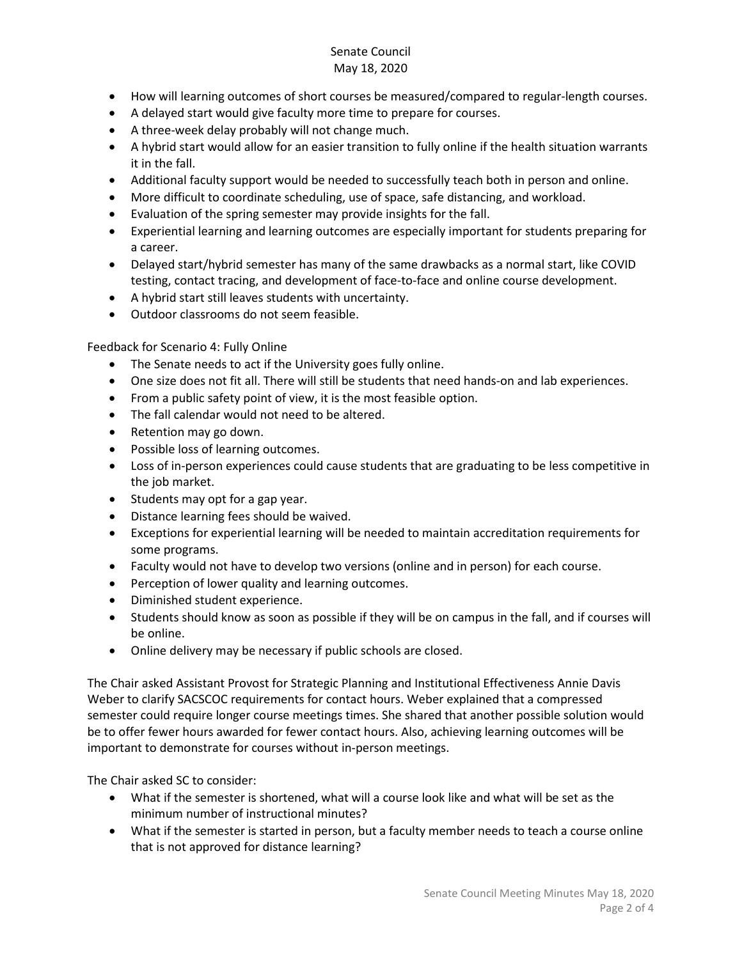- How will learning outcomes of short courses be measured/compared to regular-length courses.
- A delayed start would give faculty more time to prepare for courses.
- A three-week delay probably will not change much.
- A hybrid start would allow for an easier transition to fully online if the health situation warrants it in the fall.
- Additional faculty support would be needed to successfully teach both in person and online.
- More difficult to coordinate scheduling, use of space, safe distancing, and workload.
- Evaluation of the spring semester may provide insights for the fall.
- Experiential learning and learning outcomes are especially important for students preparing for a career.
- Delayed start/hybrid semester has many of the same drawbacks as a normal start, like COVID testing, contact tracing, and development of face-to-face and online course development.
- A hybrid start still leaves students with uncertainty.
- Outdoor classrooms do not seem feasible.

Feedback for Scenario 4: Fully Online

- The Senate needs to act if the University goes fully online.
- One size does not fit all. There will still be students that need hands-on and lab experiences.
- From a public safety point of view, it is the most feasible option.
- The fall calendar would not need to be altered.
- Retention may go down.
- Possible loss of learning outcomes.
- Loss of in-person experiences could cause students that are graduating to be less competitive in the job market.
- Students may opt for a gap year.
- Distance learning fees should be waived.
- Exceptions for experiential learning will be needed to maintain accreditation requirements for some programs.
- Faculty would not have to develop two versions (online and in person) for each course.
- Perception of lower quality and learning outcomes.
- Diminished student experience.
- Students should know as soon as possible if they will be on campus in the fall, and if courses will be online.
- Online delivery may be necessary if public schools are closed.

The Chair asked Assistant Provost for Strategic Planning and Institutional Effectiveness Annie Davis Weber to clarify SACSCOC requirements for contact hours. Weber explained that a compressed semester could require longer course meetings times. She shared that another possible solution would be to offer fewer hours awarded for fewer contact hours. Also, achieving learning outcomes will be important to demonstrate for courses without in-person meetings.

The Chair asked SC to consider:

- What if the semester is shortened, what will a course look like and what will be set as the minimum number of instructional minutes?
- What if the semester is started in person, but a faculty member needs to teach a course online that is not approved for distance learning?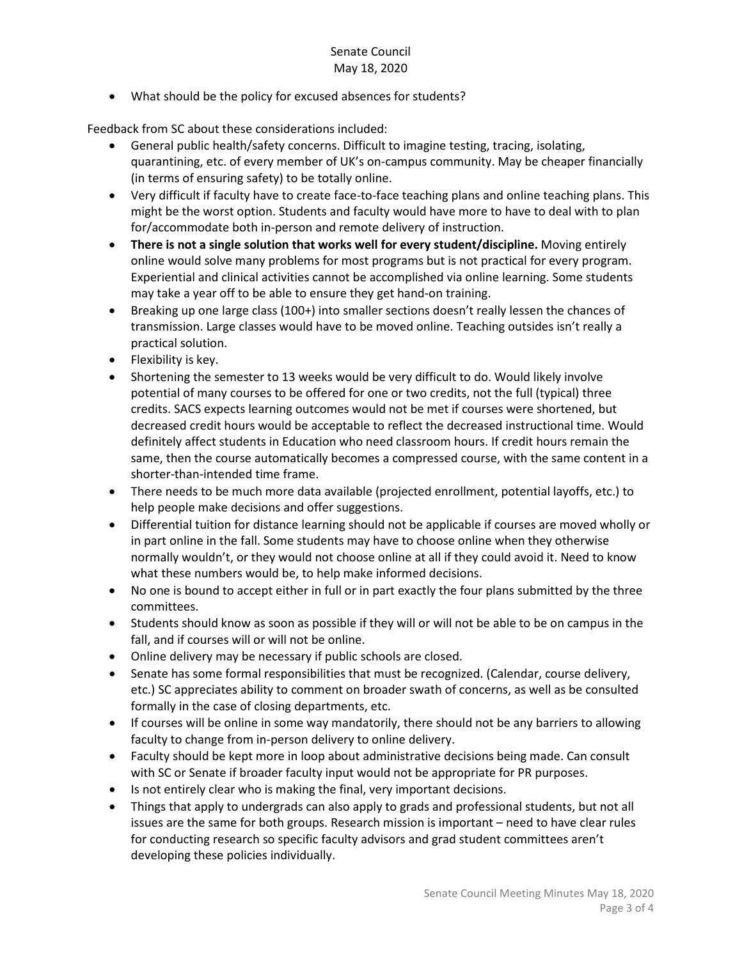• What should be the policy for excused absences for students?

Feedback from SC about these considerations included:

- General public health/safety concerns. Difficult to imagine testing, tracing, isolating, quarantining, etc. of every member of UK's on-campus community. May be cheaper financially (in terms of ensuring safety) to be totally online.
- Very difficult if faculty have to create face-to-face teaching plans and online teaching plans. This might be the worst option. Students and faculty would have more to have to deal with to plan for/accommodate both in-person and remote delivery of instruction.
- **There is not a single solution that works well for every student/discipline.** Moving entirely online would solve many problems for most programs but is not practical for every program. Experiential and clinical activities cannot be accomplished via online learning. Some students may take a year off to be able to ensure they get hand-on training.
- Breaking up one large class (100+) into smaller sections doesn't really lessen the chances of transmission. Large classes would have to be moved online. Teaching outsides isn't really a practical solution.
- Flexibility is key.
- Shortening the semester to 13 weeks would be very difficult to do. Would likely involve potential of many courses to be offered for one or two credits, not the full (typical) three credits. SACS expects learning outcomes would not be met if courses were shortened, but decreased credit hours would be acceptable to reflect the decreased instructional time. Would definitely affect students in Education who need classroom hours. If credit hours remain the same, then the course automatically becomes a compressed course, with the same content in a shorter-than-intended time frame.
- There needs to be much more data available (projected enrollment, potential layoffs, etc.) to help people make decisions and offer suggestions.
- Differential tuition for distance learning should not be applicable if courses are moved wholly or in part online in the fall. Some students may have to choose online when they otherwise normally wouldn't, or they would not choose online at all if they could avoid it. Need to know what these numbers would be, to help make informed decisions.
- No one is bound to accept either in full or in part exactly the four plans submitted by the three committees.
- Students should know as soon as possible if they will or will not be able to be on campus in the fall, and if courses will or will not be online.
- Online delivery may be necessary if public schools are closed.
- Senate has some formal responsibilities that must be recognized. (Calendar, course delivery, etc.) SC appreciates ability to comment on broader swath of concerns, as well as be consulted formally in the case of closing departments, etc.
- If courses will be online in some way mandatorily, there should not be any barriers to allowing faculty to change from in-person delivery to online delivery.
- Faculty should be kept more in loop about administrative decisions being made. Can consult with SC or Senate if broader faculty input would not be appropriate for PR purposes.
- Is not entirely clear who is making the final, very important decisions.
- Things that apply to undergrads can also apply to grads and professional students, but not all issues are the same for both groups. Research mission is important – need to have clear rules for conducting research so specific faculty advisors and grad student committees aren't developing these policies individually.